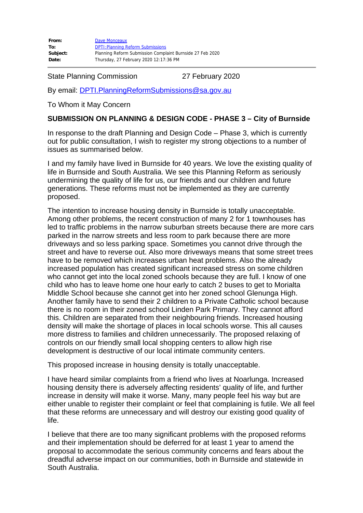| From:    | Dave Monceaux                                             |
|----------|-----------------------------------------------------------|
| To:      | <b>DPTI: Planning Reform Submissions</b>                  |
| Subject: | Planning Reform Submission Complaint Burnside 27 Feb 2020 |
| Date:    | Thursday, 27 February 2020 12:17:36 PM                    |

State Planning Commission 27 February 2020

By email: [DPTI.PlanningReformSubmissions@sa.gov.au](mailto:DPTI.PlanningReformSubmissions@sa.gov.au)

To Whom it May Concern

#### **SUBMISSION ON PLANNING & DESIGN CODE - PHASE 3 – City of Burnside**

In response to the draft Planning and Design Code – Phase 3, which is currently out for public consultation, I wish to register my strong objections to a number of issues as summarised below.

I and my family have lived in Burnside for 40 years. We love the existing quality of life in Burnside and South Australia. We see this Planning Reform as seriously undermining the quality of life for us, our friends and our children and future generations. These reforms must not be implemented as they are currently proposed.

The intention to increase housing density in Burnside is totally unacceptable. Among other problems, the recent construction of many 2 for 1 townhouses has led to traffic problems in the narrow suburban streets because there are more cars parked in the narrow streets and less room to park because there are more driveways and so less parking space. Sometimes you cannot drive through the street and have to reverse out. Also more driveways means that some street trees have to be removed which increases urban heat problems. Also the already increased population has created significant increased stress on some children who cannot get into the local zoned schools because they are full. I know of one child who has to leave home one hour early to catch 2 buses to get to Morialta Middle School because she cannot get into her zoned school Glenunga High. Another family have to send their 2 children to a Private Catholic school because there is no room in their zoned school Linden Park Primary. They cannot afford this. Children are separated from their neighbouring friends. Increased housing density will make the shortage of places in local schools worse. This all causes more distress to families and children unnecessarily. The proposed relaxing of controls on our friendly small local shopping centers to allow high rise development is destructive of our local intimate community centers.

This proposed increase in housing density is totally unacceptable.

I have heard similar complaints from a friend who lives at Noarlunga. Increased housing density there is adversely affecting residents' quality of life, and further increase in density will make it worse. Many, many people feel his way but are either unable to register their complaint or feel that complaining is futile. We all feel that these reforms are unnecessary and will destroy our existing good quality of life.

I believe that there are too many significant problems with the proposed reforms and their implementation should be deferred for at least 1 year to amend the proposal to accommodate the serious community concerns and fears about the dreadful adverse impact on our communities, both in Burnside and statewide in South Australia.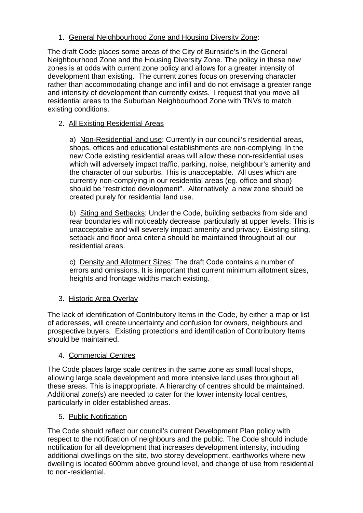1. General Neighbourhood Zone and Housing Diversity Zone:

The draft Code places some areas of the City of Burnside's in the General Neighbourhood Zone and the Housing Diversity Zone. The policy in these new zones is at odds with current zone policy and allows for a greater intensity of development than existing. The current zones focus on preserving character rather than accommodating change and infill and do not envisage a greater range and intensity of development than currently exists. I request that you move all residential areas to the Suburban Neighbourhood Zone with TNVs to match existing conditions.

# 2. All Existing Residential Areas

a) Non-Residential land use: Currently in our council's residential areas, shops, offices and educational establishments are non-complying. In the new Code existing residential areas will allow these non-residential uses which will adversely impact traffic, parking, noise, neighbour's amenity and the character of our suburbs. This is unacceptable. All uses which are currently non-complying in our residential areas (eg. office and shop) should be "restricted development". Alternatively, a new zone should be created purely for residential land use.

b) Siting and Setbacks: Under the Code, building setbacks from side and rear boundaries will noticeably decrease, particularly at upper levels. This is unacceptable and will severely impact amenity and privacy. Existing siting, setback and floor area criteria should be maintained throughout all our residential areas.

c) Density and Allotment Sizes: The draft Code contains a number of errors and omissions. It is important that current minimum allotment sizes, heights and frontage widths match existing.

## 3. Historic Area Overlay

The lack of identification of Contributory Items in the Code, by either a map or list of addresses, will create uncertainty and confusion for owners, neighbours and prospective buyers. Existing protections and identification of Contributory Items should be maintained.

## 4. Commercial Centres

The Code places large scale centres in the same zone as small local shops, allowing large scale development and more intensive land uses throughout all these areas. This is inappropriate. A hierarchy of centres should be maintained. Additional zone(s) are needed to cater for the lower intensity local centres, particularly in older established areas.

## 5. Public Notification

The Code should reflect our council's current Development Plan policy with respect to the notification of neighbours and the public. The Code should include notification for all development that increases development intensity, including additional dwellings on the site, two storey development, earthworks where new dwelling is located 600mm above ground level, and change of use from residential to non-residential.